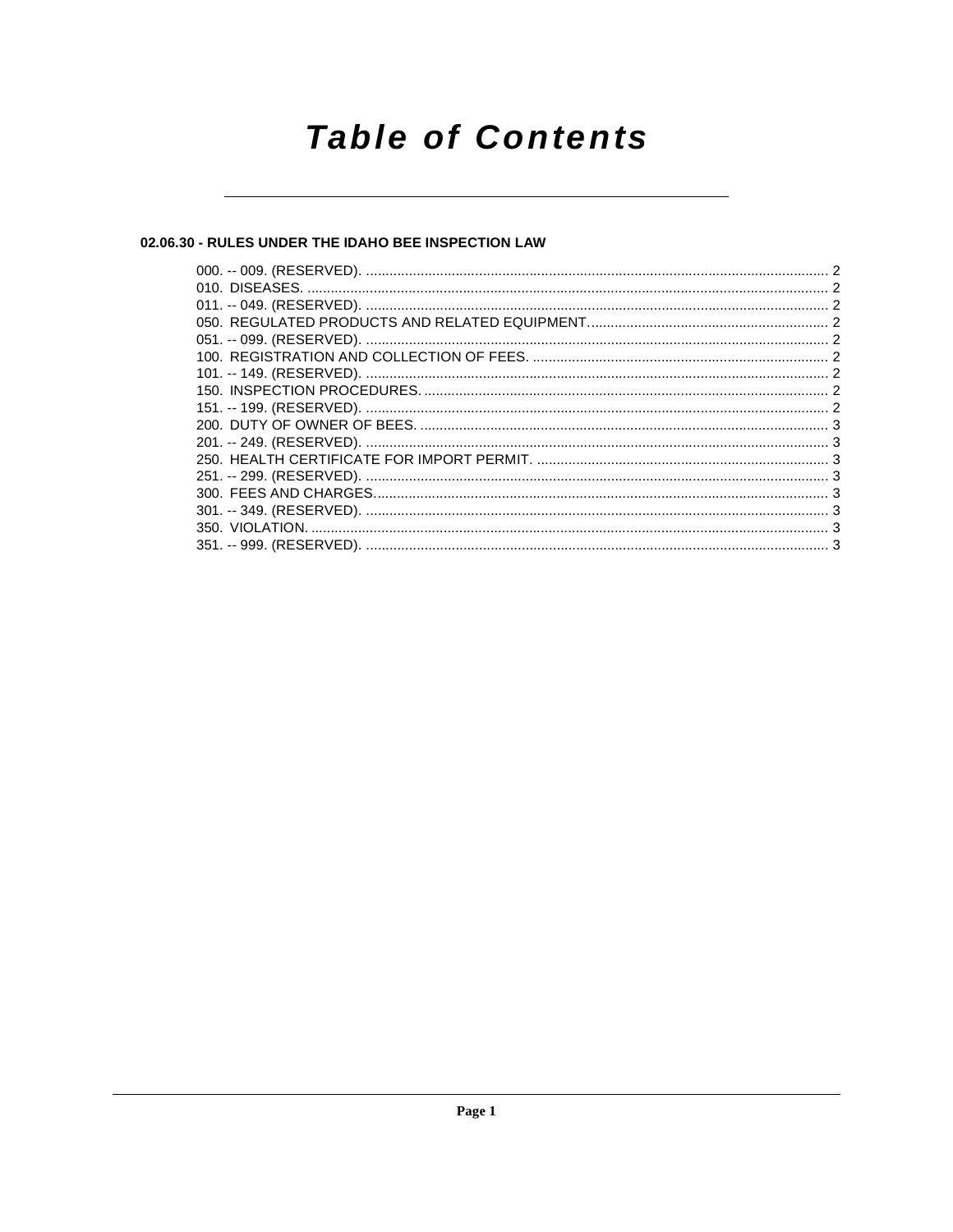## **Table of Contents**

## 02.06.30 - RULES UNDER THE IDAHO BEE INSPECTION LAW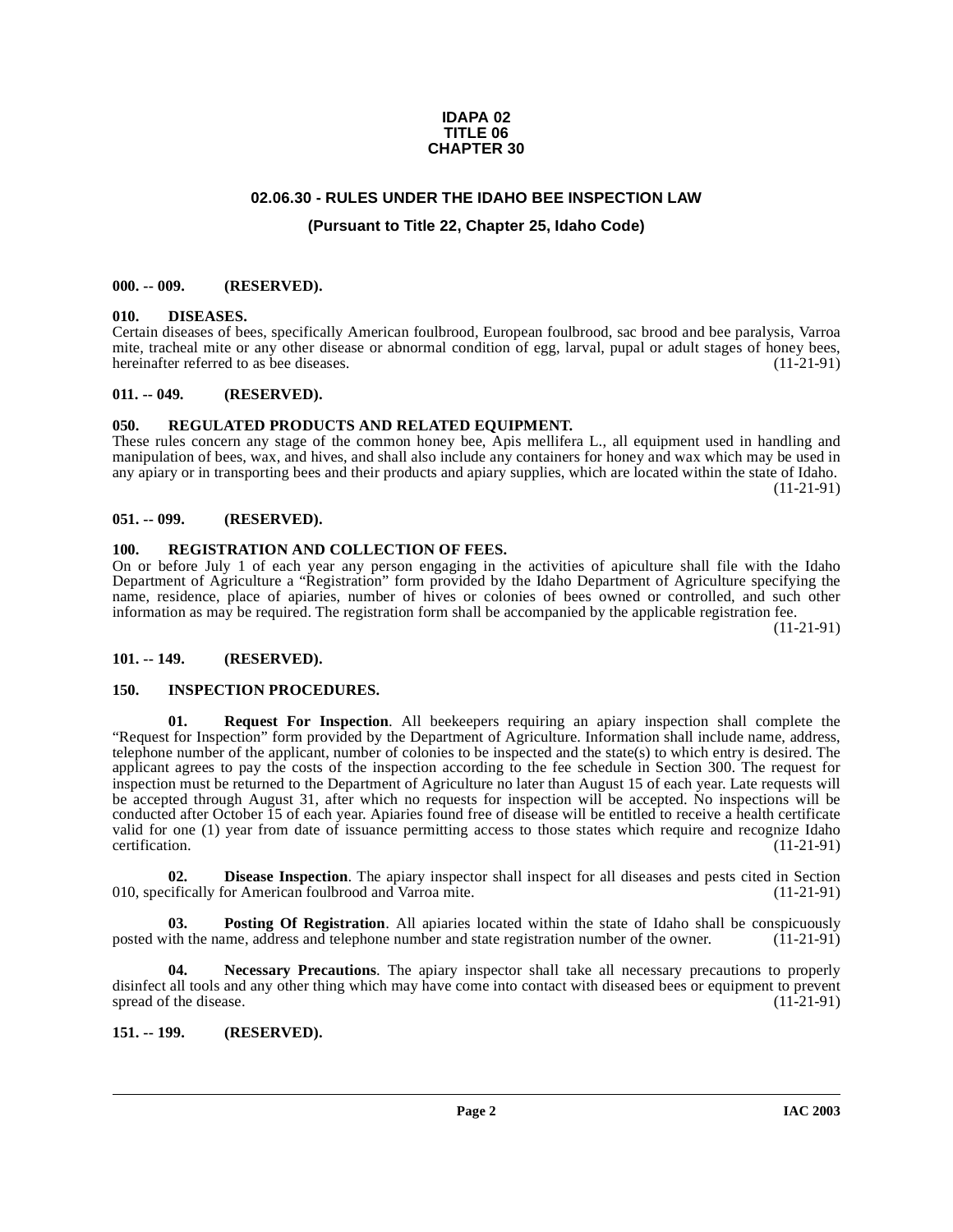#### **IDAPA 02 TITLE 06 CHAPTER 30**

## **02.06.30 - RULES UNDER THE IDAHO BEE INSPECTION LAW**

## **(Pursuant to Title 22, Chapter 25, Idaho Code)**

#### <span id="page-1-1"></span><span id="page-1-0"></span>**000. -- 009. (RESERVED).**

#### <span id="page-1-11"></span><span id="page-1-2"></span>**010. DISEASES.**

Certain diseases of bees, specifically American foulbrood, European foulbrood, sac brood and bee paralysis, Varroa mite, tracheal mite or any other disease or abnormal condition of egg, larval, pupal or adult stages of honey bees, hereinafter referred to as bee diseases. (11-21-91)

#### <span id="page-1-3"></span>**011. -- 049. (RESERVED).**

#### <span id="page-1-16"></span><span id="page-1-4"></span>**050. REGULATED PRODUCTS AND RELATED EQUIPMENT.**

These rules concern any stage of the common honey bee, Apis mellifera L., all equipment used in handling and manipulation of bees, wax, and hives, and shall also include any containers for honey and wax which may be used in any apiary or in transporting bees and their products and apiary supplies, which are located within the state of Idaho. (11-21-91)

#### <span id="page-1-5"></span>**051. -- 099. (RESERVED).**

#### <span id="page-1-15"></span><span id="page-1-6"></span>**100. REGISTRATION AND COLLECTION OF FEES.**

On or before July 1 of each year any person engaging in the activities of apiculture shall file with the Idaho Department of Agriculture a "Registration" form provided by the Idaho Department of Agriculture specifying the name, residence, place of apiaries, number of hives or colonies of bees owned or controlled, and such other information as may be required. The registration form shall be accompanied by the applicable registration fee.

(11-21-91)

## <span id="page-1-7"></span>**101. -- 149. (RESERVED).**

#### <span id="page-1-17"></span><span id="page-1-12"></span><span id="page-1-8"></span>**150. INSPECTION PROCEDURES.**

**01. Request For Inspection**. All beekeepers requiring an apiary inspection shall complete the "Request for Inspection" form provided by the Department of Agriculture. Information shall include name, address, telephone number of the applicant, number of colonies to be inspected and the state(s) to which entry is desired. The applicant agrees to pay the costs of the inspection according to the fee schedule in Section 300. The request for inspection must be returned to the Department of Agriculture no later than August 15 of each year. Late requests will be accepted through August 31, after which no requests for inspection will be accepted. No inspections will be conducted after October 15 of each year. Apiaries found free of disease will be entitled to receive a health certificate valid for one (1) year from date of issuance permitting access to those states which require and recognize Idaho certification. (11-21-91) certification. (11-21-91)

<span id="page-1-10"></span>**02. Disease Inspection**. The apiary inspector shall inspect for all diseases and pests cited in Section cifically for American foulbrood and Varroa mite. (11-21-91) 010, specifically for American foulbrood and Varroa mite.

<span id="page-1-14"></span>**03. Posting Of Registration**. All apiaries located within the state of Idaho shall be conspicuously ith the name. address and telephone number and state registration number of the owner. (11-21-91) posted with the name, address and telephone number and state registration number of the owner.

<span id="page-1-13"></span>**04. Necessary Precautions**. The apiary inspector shall take all necessary precautions to properly disinfect all tools and any other thing which may have come into contact with diseased bees or equipment to prevent spread of the disease. (11-21-91) spread of the disease.

## <span id="page-1-9"></span>**151. -- 199. (RESERVED).**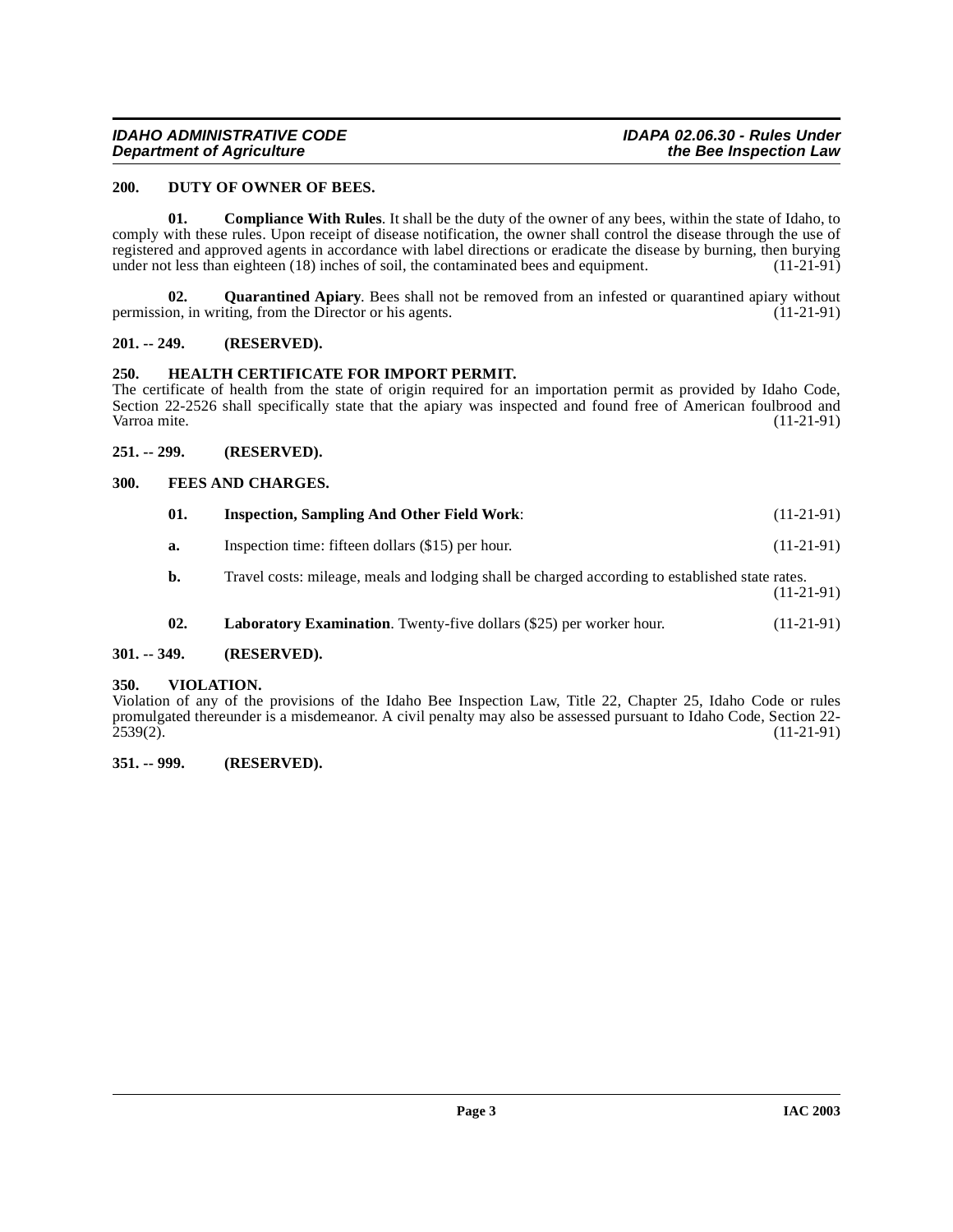#### <span id="page-2-9"></span><span id="page-2-0"></span>**200. DUTY OF OWNER OF BEES.**

<span id="page-2-8"></span>**01. Compliance With Rules**. It shall be the duty of the owner of any bees, within the state of Idaho, to comply with these rules. Upon receipt of disease notification, the owner shall control the disease through the use of registered and approved agents in accordance with label directions or eradicate the disease by burning, then burying under not less than eighteen (18) inches of soil, the contaminated bees and equipment. (11-21-91) under not less than eighteen (18) inches of soil, the contaminated bees and equipment.

<span id="page-2-14"></span>**02. Quarantined Apiary**. Bees shall not be removed from an infested or quarantined apiary without on. in writing, from the Director or his agents. (11-21-91) permission, in writing, from the Director or his agents.

#### <span id="page-2-1"></span>**201. -- 249. (RESERVED).**

#### <span id="page-2-11"></span><span id="page-2-2"></span>**250. HEALTH CERTIFICATE FOR IMPORT PERMIT.**

The certificate of health from the state of origin required for an importation permit as provided by Idaho Code, Section 22-2526 shall specifically state that the apiary was inspected and found free of American foulbrood and Varroa mite. (11-21-91) Varroa mite. (11-21-91) (11-21-91)

#### <span id="page-2-3"></span>**251. -- 299. (RESERVED).**

#### <span id="page-2-4"></span>**300. FEES AND CHARGES.**

<span id="page-2-12"></span><span id="page-2-10"></span>

| 01. | <b>Inspection, Sampling And Other Field Work:</b>                                               | $(11-21-91)$ |
|-----|-------------------------------------------------------------------------------------------------|--------------|
| а.  | Inspection time: fifteen dollars (\$15) per hour.                                               | $(11-21-91)$ |
| b.  | Travel costs: mileage, meals and lodging shall be charged according to established state rates. | $(11-21-91)$ |

<span id="page-2-13"></span>**02.** Laboratory Examination. Twenty-five dollars (\$25) per worker hour. (11-21-91)

## <span id="page-2-5"></span>**301. -- 349. (RESERVED).**

#### <span id="page-2-6"></span>**350. VIOLATION.**

Violation of any of the provisions of the Idaho Bee Inspection Law, Title 22, Chapter 25, Idaho Code or rules promulgated thereunder is a misdemeanor. A civil penalty may also be assessed pursuant to Idaho Code, Section 22- 2539(2). (11-21-91)

#### <span id="page-2-7"></span>**351. -- 999. (RESERVED).**